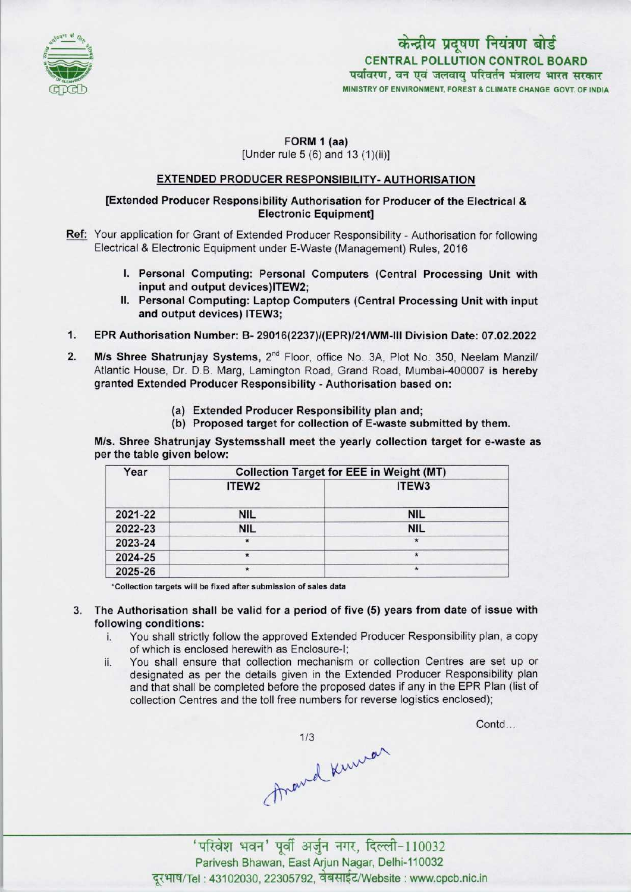

## FORM 1 (aa) [Under rule 5 (6) and 13 (1)(ii)]

### EXTENDED PRODUCER RESPONSIBILITY- AUTHORISATION

#### [Extended Producer Responsibility Authorisation for Producer ofthe Electrical & Electronic Equipment]

- Ref: Your application for Grant of Extended Producer Responsibility Authorisation for following Electrical & Electronic Equipment under E-Waste (Management) Rules, 2016
	- I. Personal Computing: Personal Computers (Central Processing Unit with input and output devices)ITEW2;
	- II. Personal Computing: Laptop Computers (Central Processing Unit with input and output devices) ITEW3;
- $1.$ EPR Authorisation Number: B- 29016(2237)/(EPR)/21/WM-lll Division Date: 07.02.2022
- M/s Shree Shatrunjay Systems, 2<sup>nd</sup> Floor, office No. 3A, Plot No. 350, Neelam Manzil/  $2.$ Atlantic House, Dr. D.B. Marg, Lamington Road, Grand Road, Mumbai-400007 is hereby granted Extended Producer Responsibility - Authorisation based on:
	- (a)Extended Producer Responsibility plan and;
	- (b) Proposed target for collection of E-waste submitted by them.

M/s. Shree Shatrunjay Systemsshall meet the yearly collection target for e-waste as per the table given below:

| Year    | <b>Collection Target for EEE in Weight (MT)</b> |                   |  |
|---------|-------------------------------------------------|-------------------|--|
|         | ITEW <sub>2</sub>                               | ITEW <sub>3</sub> |  |
| 2021-22 | <b>NIL</b>                                      | <b>NIL</b>        |  |
| 2022-23 | <b>NIL</b>                                      | <b>NIL</b>        |  |
| 2023-24 | $\star$                                         | $\star$           |  |
| 2024-25 | $\star$                                         | $\star$           |  |
| 2025-26 | $\star$                                         | $\star$           |  |

'Collection targets will be fixed sfter submission of sales data

3. The Authorisation shall be valid for a period offive (5) years from date of issue with following conditions:

- i. You shall strictly follow the approved Extended Producer Responsibility plan, <sup>a</sup> copy of which is enclosed herewith as Enclosure-I;
- ii. You shall ensure that collection mechanism or collection Centres are set up or designated as per the details given in the Extended Producer Responsibility plan and that shall be completed before the proposed dates if any in the EPR Plan (list of collection Centres and the toll free numbers for reverse logistics enclosed);

Contd...

thand kniver

'परिवेश भवन' पूर्वी अर्जुन नगर, दिल्ली-110032 Parivesh Bhawan, EastArjun Nagar, Delhi-110032 दूरभाष/Tel: 43102030, 22305792, वेबसाईट/Website : www.cpcb.nic.in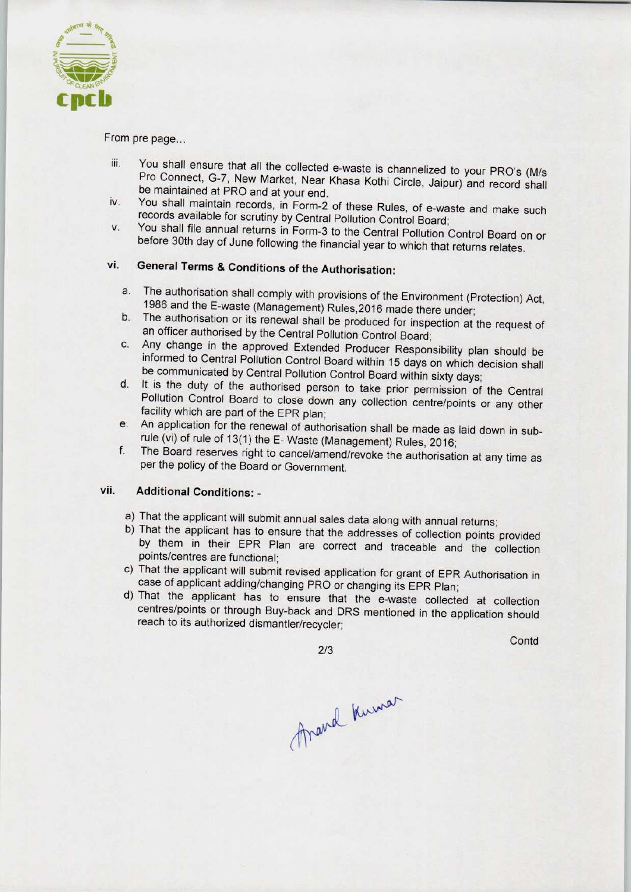

From pre page...

- iii. You shall ensure that all the collected e-waste is channelized to your PRO's (M/s Pro Connect, G-7, New Market, Near Khasa Kothi Circle, Jaipur) and record shall be maintained at PRO and at your end.
- iv. You shall maintain records, in Form-2 of these Rules, of e-waste and make such records available for scrutiny by Central Pollution Control Board;
- v. You shall file annual returnsin Form-3 to the Central Pollution Control Board on or before 30th day of June following the financial year to which that returns relates.

# vi. General Terms & Conditions of the Authorisation:

- a.The authorisation shall comply with provisions of the Environment (Protection) Act, 1986 and the E-waste (Management) Rules,2016 made there under;
- b.The authorisation or its renewal shall be produced for inspection at the request of an officer authorised by the Central Pollution Control Board;
- c.Any change in the approved Extended Producer Responsibility plan should be informed to Central Pollution Control Board within 15 days on which decision shall be communicated by Central Pollution Control Board within sixty days;
- d. It is the duty of the authorised person to take prior permission of the Central Pollution Control Board to close down any collection centre/points or any other facility which are part of the EPR plan;
- e. An application for the renewal of authorisation shall be made as laid down in subrule (vi) of rule of 13(1) the E- Waste (Management) Rules, 2016;
- f. The Board reserves right to cancel/amend/revoke the authorisation at any time as per the policy of the Board or Government.

#### vii. Additional Conditions: -

- a) That the applicant will submit annual sales data along with annual returns;
- b) That the applicant has to ensure that the addresses of collection points provided by them in their EPR Plan are correct and traceable and the collection points/centres are functional;
- c) That the applicant will submit revised application for grant of EPR Authorisation in case of applicant adding/changing PRO or changing its EPR Plan;
- d)That the applicant has to ensure that the e-waste collected at collection centres/points or through Buy-back and DRS mentioned in the application should reach to its authorized dismantler/recycler;

2/3

**Contd** 

Frand Kumar